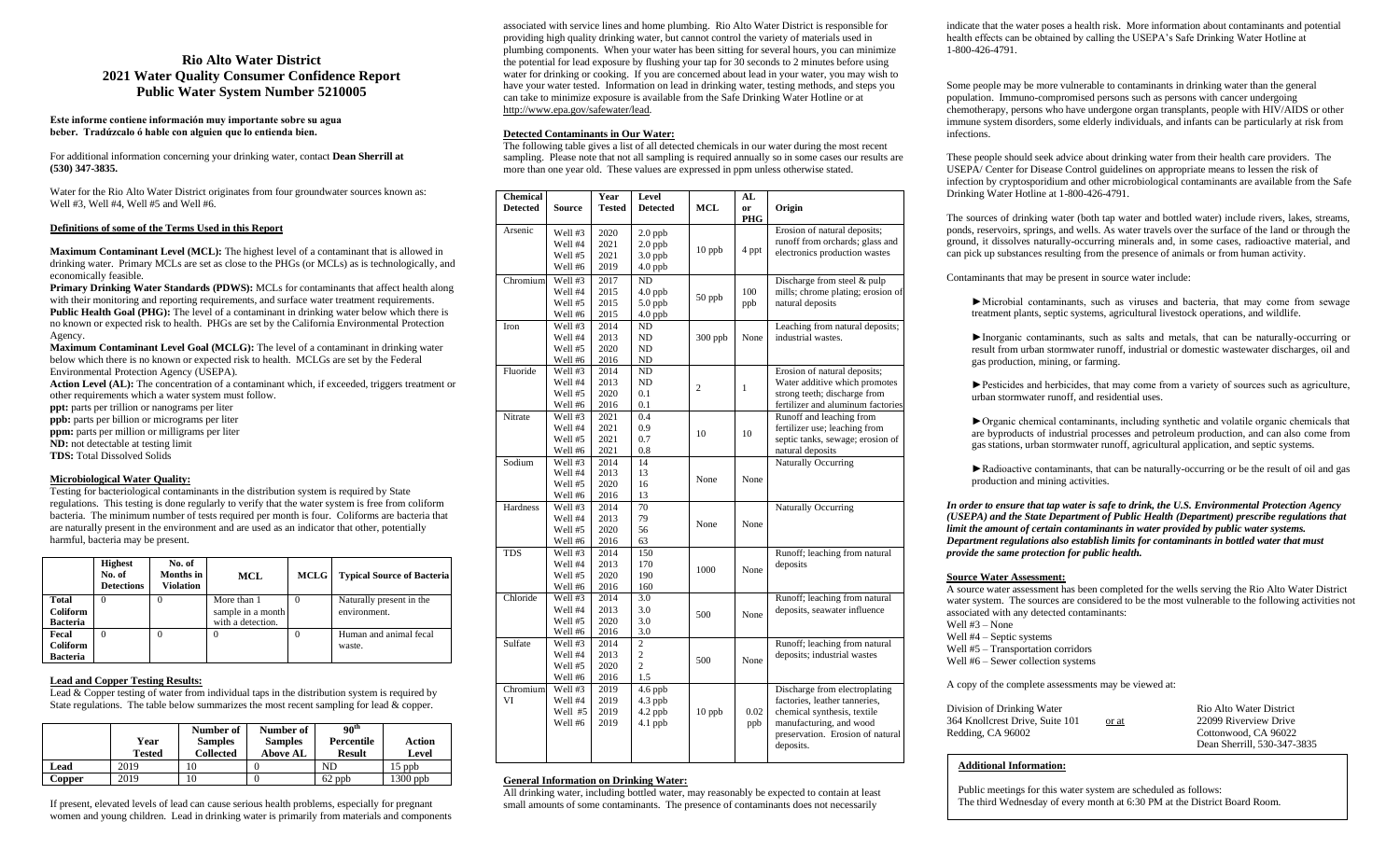# **Rio Alto Water District 2021 Water Quality Consumer Confidence Report Public Water System Number 5210005**

**Este informe contiene informaciόn muy importante sobre su agua beber. Tradứzcalo ό hable con alguien que lo entienda bien.**

For additional information concerning your drinking water, contact **Dean Sherrill at (530) 347-3835.**

Water for the Rio Alto Water District originates from four groundwater sources known as: Well #3, Well #4, Well #5 and Well #6.

## **Definitions of some of the Terms Used in this Report**

**Maximum Contaminant Level (MCL):** The highest level of a contaminant that is allowed in drinking water. Primary MCLs are set as close to the PHGs (or MCLs) as is technologically, and economically feasible.

**Primary Drinking Water Standards (PDWS):** MCLs for contaminants that affect health along with their monitoring and reporting requirements, and surface water treatment requirements. **Public Health Goal (PHG):** The level of a contaminant in drinking water below which there is no known or expected risk to health. PHGs are set by the California Environmental Protection Agency.

**Maximum Contaminant Level Goal (MCLG):** The level of a contaminant in drinking water below which there is no known or expected risk to health. MCLGs are set by the Federal Environmental Protection Agency (USEPA).

**Action Level (AL):** The concentration of a contaminant which, if exceeded, triggers treatment or other requirements which a water system must follow.

- **ppt:** parts per trillion or nanograms per liter
- **ppb:** parts per billion or micrograms per liter
- **ppm:** parts per million or milligrams per liter
- **ND:** not detectable at testing limit
- **TDS:** Total Dissolved Solids

# **Microbiological Water Quality:**

Testing for bacteriological contaminants in the distribution system is required by State regulations. This testing is done regularly to verify that the water system is free from coliform bacteria. The minimum number of tests required per month is four. Coliforms are bacteria that are naturally present in the environment and are used as an indicator that other, potentially harmful, bacteria may be present.

|                                      | <b>Highest</b><br>No. of<br><b>Detections</b> | No. of<br>Months in<br>Violation | MCL                                                   | <b>MCLG</b> | <b>Typical Source of Bacteria</b>        |
|--------------------------------------|-----------------------------------------------|----------------------------------|-------------------------------------------------------|-------------|------------------------------------------|
| Total<br>Coliform<br><b>Bacteria</b> | $\Omega$                                      |                                  | More than 1<br>sample in a month<br>with a detection. |             | Naturally present in the<br>environment. |
| Fecal<br>Coliform<br>Bacteria        | $\Omega$                                      |                                  | $\Omega$                                              | $\Omega$    | Human and animal fecal<br>waste.         |

# **Lead and Copper Testing Results:**

Lead  $& \text{Copper testing of water from individual taps in the distribution system is required by}$ State regulations. The table below summarizes the most recent sampling for lead  $\&$  copper.

|        | Year<br>Tested | Number of<br><b>Samples</b><br><b>Collected</b> | Number of<br><b>Samples</b><br><b>Above AL</b> | 90 <sup>th</sup><br>Percentile<br><b>Result</b> | Action<br>Level |
|--------|----------------|-------------------------------------------------|------------------------------------------------|-------------------------------------------------|-----------------|
| Lead   | 2019           | 10                                              |                                                | ND                                              | $15$ ppb        |
| Copper | 2019           | 10                                              |                                                | $62$ ppb                                        | $1300$ ppb      |

If present, elevated levels of lead can cause serious health problems, especially for pregnant women and young children. Lead in drinking water is primarily from materials and components

associated with service lines and home plumbing. Rio Alto Water District is responsible for providing high quality drinking water, but cannot control the variety of materials used in plumbing components. When your water has been sitting for several hours, you can minimize the potential for lead exposure by flushing your tap for 30 seconds to 2 minutes before using water for drinking or cooking. If you are concerned about lead in your water, you may wish to have your water tested. Information on lead in drinking water, testing methods, and steps you can take to minimize exposure is available from the Safe Drinking Water Hotline or at http://www.epa.gov/safewater/lead.

# **Detected Contaminants in Our Water:**

The following table gives a list of all detected chemicals in our water during the most recent sampling. Please note that not all sampling is required annually so in some cases our results are more than one year old. These values are expressed in ppm unless otherwise stated.

| <b>Chemical</b><br><b>Detected</b> | <b>Source</b>  | Year<br>Tested | Level<br><b>Detected</b> | <b>MCL</b>     | AL<br><sub>or</sub> | Origin                            |
|------------------------------------|----------------|----------------|--------------------------|----------------|---------------------|-----------------------------------|
|                                    |                |                |                          |                | PHG                 |                                   |
| Arsenic                            | Well #3        | 2020           | $2.0$ ppb                |                |                     | Erosion of natural deposits;      |
|                                    | <b>Well #4</b> | 2021           | $2.0$ ppb                |                |                     | runoff from orchards; glass and   |
|                                    | Well #5        | 2021           | $3.0$ ppb                | 10 ppb         | 4 ppt               | electronics production wastes     |
|                                    | Well #6        | 2019           | $4.0$ ppb                |                |                     |                                   |
| Chromium                           | Well #3        | 2017           | ND                       |                |                     | Discharge from steel & pulp       |
|                                    | Well #4        | 2015           | $4.0$ ppb                | 50 ppb         | 100                 | mills; chrome plating; erosion of |
|                                    | Well #5        | 2015           | $5.0$ ppb                |                | ppb                 | natural deposits                  |
|                                    | Well #6        | 2015           | $4.0$ ppb                |                |                     |                                   |
| Iron                               | Well #3        | 2014           | ND                       |                |                     | Leaching from natural deposits;   |
|                                    | Well #4        | 2013           | ND                       | $300$ ppb      | None                | industrial wastes.                |
|                                    | Well #5        | 2020           | ND.                      |                |                     |                                   |
|                                    | Well #6        | 2016           | ND                       |                |                     |                                   |
| Fluoride                           | Well #3        | 2014           | ND                       |                |                     | Erosion of natural deposits;      |
|                                    | <b>Well #4</b> | 2013           | ND                       | $\overline{c}$ | $\mathbf{1}$        | Water additive which promotes     |
|                                    | Well #5        | 2020           | 0.1                      |                |                     | strong teeth; discharge from      |
|                                    | Well #6        | 2016           | 0.1                      |                |                     | fertilizer and aluminum factories |
| Nitrate                            | Well #3        | 2021           | 0.4                      |                |                     | Runoff and leaching from          |
|                                    | Well #4        | 2021           | 0.9                      | 10             | 10                  | fertilizer use; leaching from     |
|                                    | Well #5        | 2021           | 0.7                      |                |                     | septic tanks, sewage; erosion of  |
|                                    | Well #6        | 2021           | 0.8                      |                |                     | natural deposits                  |
| Sodium                             | Well #3        | 2014           | 14                       |                |                     | Naturally Occurring               |
|                                    | <b>Well #4</b> | 2013           | 13                       | None           | None                |                                   |
|                                    | Well #5        | 2020           | 16                       |                |                     |                                   |
|                                    | Well #6        | 2016           | 13                       |                |                     |                                   |
| Hardness                           | Well #3        | 2014           | 70                       |                |                     | Naturally Occurring               |
|                                    | Well #4        | 2013           | 79                       | None           | None                |                                   |
|                                    | Well #5        | 2020           | 56                       |                |                     |                                   |
|                                    | Well #6        | 2016           | 63                       |                |                     |                                   |
| <b>TDS</b>                         | Well #3        | 2014           | 150                      |                |                     | Runoff; leaching from natural     |
|                                    | Well #4        | 2013           | 170                      | 1000           | None                | deposits                          |
|                                    | Well #5        | 2020           | 190                      |                |                     |                                   |
|                                    | Well #6        | 2016           | 160                      |                |                     |                                   |
| Chloride                           | Well #3        | 2014           | 3.0                      |                |                     | Runoff; leaching from natural     |
|                                    | Well #4        | 2013           | 3.0                      | 500            | None                | deposits, seawater influence      |
|                                    | Well #5        | 2020           | 3.0                      |                |                     |                                   |
|                                    | Well #6        | 2016           | 3.0                      |                |                     |                                   |
| Sulfate                            | Well #3        | 2014           | 2                        |                |                     | Runoff; leaching from natural     |
|                                    | <b>Well #4</b> | 2013           | $\overline{c}$           | 500            | None                | deposits; industrial wastes       |
|                                    | Well #5        | 2020           | $\overline{c}$           |                |                     |                                   |
|                                    | Well #6        | 2016           | 1.5                      |                |                     |                                   |
| Chromium                           | Well #3        | 2019           | 4.6 ppb                  |                |                     | Discharge from electroplating     |
| VI                                 | Well #4        | 2019           | $4.3$ ppb                |                |                     | factories, leather tanneries,     |
|                                    | Well #5        | 2019           | 4.2 ppb                  | $10$ ppb       | 0.02                | chemical synthesis, textile       |
|                                    | Well #6        | 2019           | $4.1$ ppb                |                | ppb                 | manufacturing, and wood           |
|                                    |                |                |                          |                |                     | preservation. Erosion of natural  |
|                                    |                |                |                          |                |                     | deposits.                         |
|                                    |                |                |                          |                |                     |                                   |

# **General Information on Drinking Water:**

All drinking water, including bottled water, may reasonably be expected to contain at least small amounts of some contaminants. The presence of contaminants does not necessarily

indicate that the water poses a health risk. More information about contaminants and potential health effects can be obtained by calling the USEPA's Safe Drinking Water Hotline at 1-800-426-4791.

Some people may be more vulnerable to contaminants in drinking water than the general population. Immuno-compromised persons such as persons with cancer undergoing chemotherapy, persons who have undergone organ transplants, people with HIV/AIDS or other immune system disorders, some elderly individuals, and infants can be particularly at risk from infections.

These people should seek advice about drinking water from their health care providers. The USEPA/ Center for Disease Control guidelines on appropriate means to lessen the risk of infection by cryptosporidium and other microbiological contaminants are available from the Safe Drinking Water Hotline at 1-800-426-4791.

The sources of drinking water (both tap water and bottled water) include rivers, lakes, streams, ponds, reservoirs, springs, and wells. As water travels over the surface of the land or through the ground, it dissolves naturally-occurring minerals and, in some cases, radioactive material, and can pick up substances resulting from the presence of animals or from human activity.

Contaminants that may be present in source water include:

►Microbial contaminants, such as viruses and bacteria, that may come from sewage treatment plants, septic systems, agricultural livestock operations, and wildlife.

►Inorganic contaminants, such as salts and metals, that can be naturally-occurring or result from urban stormwater runoff, industrial or domestic wastewater discharges, oil and gas production, mining, or farming.

►Pesticides and herbicides, that may come from a variety of sources such as agriculture, urban stormwater runoff, and residential uses.

►Organic chemical contaminants, including synthetic and volatile organic chemicals that are byproducts of industrial processes and petroleum production, and can also come from gas stations, urban stormwater runoff, agricultural application, and septic systems.

►Radioactive contaminants, that can be naturally-occurring or be the result of oil and gas production and mining activities.

*In order to ensure that tap water is safe to drink, the U.S. Environmental Protection Agency (USEPA) and the State Department of Public Health (Department) prescribe regulations that limit the amount of certain contaminants in water provided by public water systems. Department regulations also establish limits for contaminants in bottled water that must provide the same protection for public health.*

### **Source Water Assessment:**

A source water assessment has been completed for the wells serving the Rio Alto Water District water system. The sources are considered to be the most vulnerable to the following activities not associated with any detected contaminants:

Well #3 – None

Well #4 – Septic systems

Well #5 – Transportation corridors

Well #6 – Sewer collection systems

A copy of the complete assessments may be viewed at:

| Division of Drinking Water      |       | Rio Alto Water District     |
|---------------------------------|-------|-----------------------------|
| 364 Knollcrest Drive, Suite 101 | or at | 22099 Riverview Drive       |
| Redding, CA 96002               |       | Cottonwood, CA 96022        |
|                                 |       | Dean Sherrill, 530-347-3835 |

# **Additional Information:**

Public meetings for this water system are scheduled as follows: The third Wednesday of every month at 6:30 PM at the District Board Room.